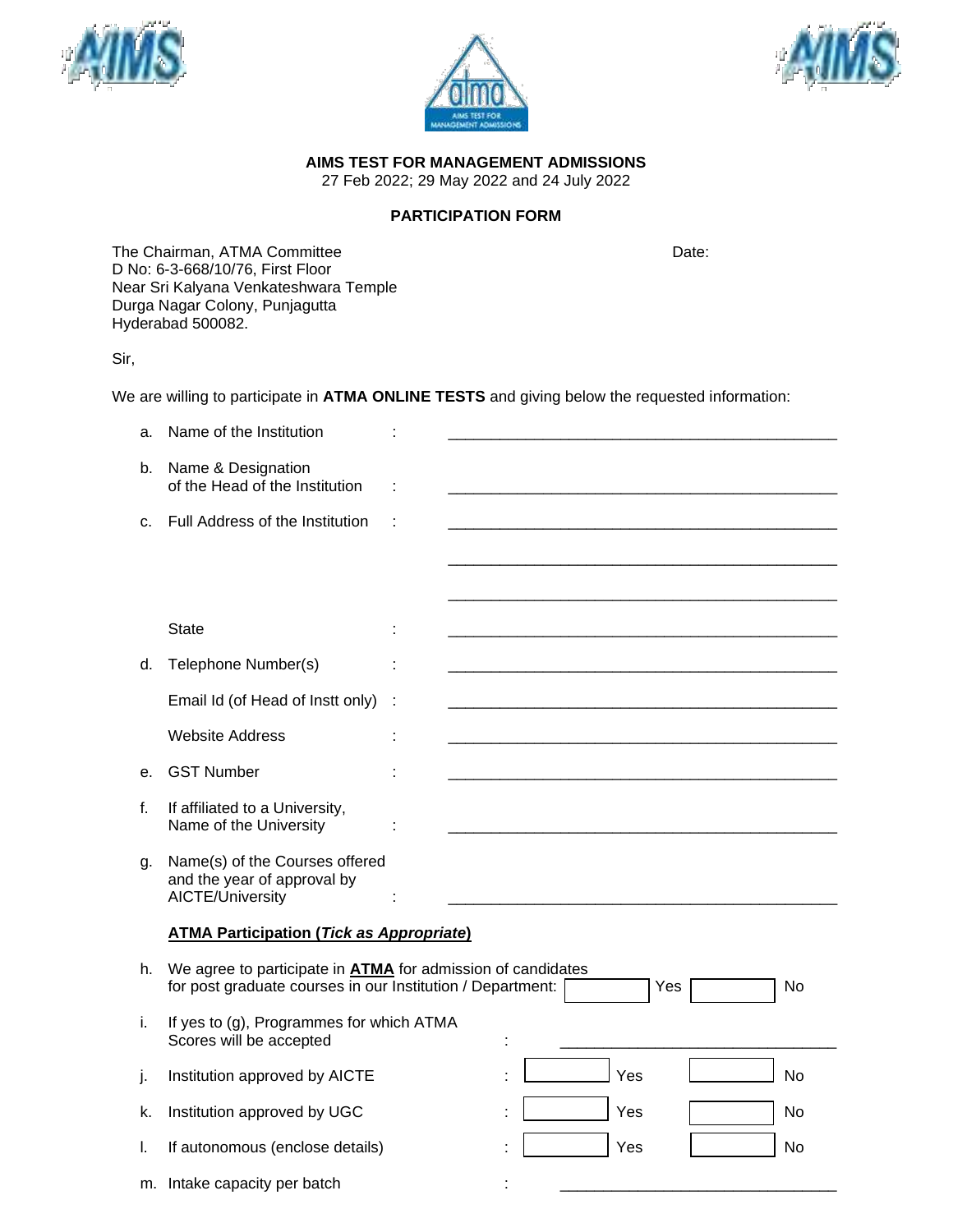





**AIMS TEST FOR MANAGEMENT ADMISSIONS**

27 Feb 2022; 29 May 2022 and 24 July 2022

## **PARTICIPATION FORM**

The Chairman, ATMA Committee Date: Date: D No: 6-3-668/10/76, First Floor Near Sri Kalyana Venkateshwara Temple Durga Nagar Colony, Punjagutta Hyderabad 500082.

Sir,

We are willing to participate in **ATMA ONLINE TESTS** and giving below the requested information:

| a. | Name of the Institution                                                                                                          |   |  |     |           |
|----|----------------------------------------------------------------------------------------------------------------------------------|---|--|-----|-----------|
| b. | Name & Designation<br>of the Head of the Institution                                                                             |   |  |     |           |
| C. | Full Address of the Institution                                                                                                  |   |  |     |           |
|    |                                                                                                                                  |   |  |     |           |
|    |                                                                                                                                  |   |  |     |           |
|    | <b>State</b>                                                                                                                     |   |  |     |           |
| d. | Telephone Number(s)                                                                                                              |   |  |     |           |
|    | Email Id (of Head of Instt only)                                                                                                 | t |  |     |           |
|    | <b>Website Address</b>                                                                                                           |   |  |     |           |
| е. | <b>GST Number</b>                                                                                                                |   |  |     |           |
| f. | If affiliated to a University,<br>Name of the University                                                                         |   |  |     |           |
| g. | Name(s) of the Courses offered<br>and the year of approval by<br>AICTE/University                                                |   |  |     |           |
|    | <b>ATMA Participation (Tick as Appropriate)</b>                                                                                  |   |  |     |           |
| h. | We agree to participate in <b>ATMA</b> for admission of candidates<br>for post graduate courses in our Institution / Department: |   |  | Yes | No        |
| i. | If yes to (g), Programmes for which ATMA<br>Scores will be accepted                                                              |   |  |     |           |
| j. | Institution approved by AICTE                                                                                                    |   |  | Yes | <b>No</b> |
| k. | Institution approved by UGC                                                                                                      |   |  | Yes | No        |
| L. | If autonomous (enclose details)                                                                                                  |   |  | Yes | No        |
|    | m. Intake capacity per batch                                                                                                     |   |  |     |           |
|    |                                                                                                                                  |   |  |     |           |